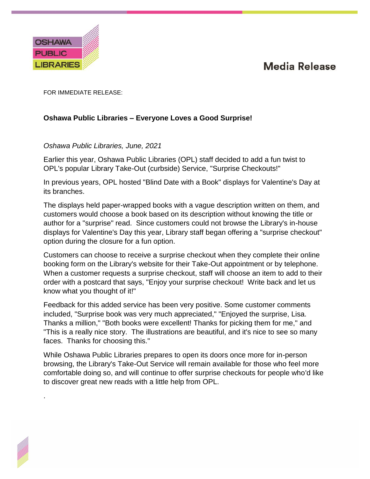## **Media Release**



.

FOR IMMEDIATE RELEASE:

## **Oshawa Public Libraries – Everyone Loves a Good Surprise!**

## *Oshawa Public Libraries, June, 2021*

Earlier this year, Oshawa Public Libraries (OPL) staff decided to add a fun twist to OPL's popular Library Take-Out (curbside) Service, "Surprise Checkouts!"

In previous years, OPL hosted "Blind Date with a Book" displays for Valentine's Day at its branches.

The displays held paper-wrapped books with a vague description written on them, and customers would choose a book based on its description without knowing the title or author for a "surprise" read. Since customers could not browse the Library's in-house displays for Valentine's Day this year, Library staff began offering a "surprise checkout" option during the closure for a fun option.

Customers can choose to receive a surprise checkout when they complete their online booking form on the Library's website for their Take-Out appointment or by telephone. When a customer requests a surprise checkout, staff will choose an item to add to their order with a postcard that says, "Enjoy your surprise checkout! Write back and let us know what you thought of it!"

Feedback for this added service has been very positive. Some customer comments included, "Surprise book was very much appreciated," "Enjoyed the surprise, Lisa. Thanks a million," "Both books were excellent! Thanks for picking them for me," and "This is a really nice story. The illustrations are beautiful, and it's nice to see so many faces. Thanks for choosing this."

While Oshawa Public Libraries prepares to open its doors once more for in-person browsing, the Library's Take-Out Service will remain available for those who feel more comfortable doing so, and will continue to offer surprise checkouts for people who'd like to discover great new reads with a little help from OPL.